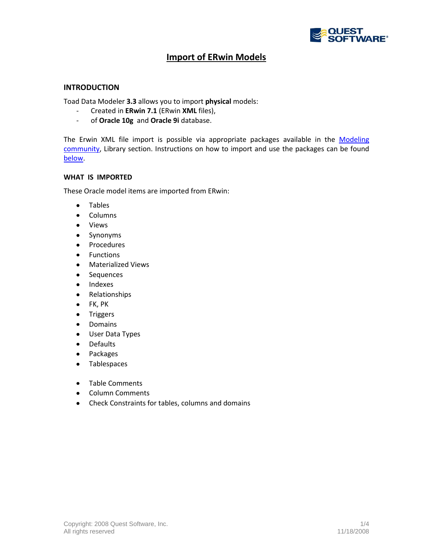

# **Import of ERwin Models**

### **INTRODUCTION**

Toad Data Modeler **3.3** allows you to import **physical** models:

- Created in **ERwin 7.1** (ERwin **XML** files),
- of **Oracle 10g** and **Oracle 9i** database.

The Erwin XML file import is possible via appropriate packages available in the Modeling [community,](http://modeling.inside.quest.com/) Library section. Instructions on how to import and use the packages can be found [below.](#page-0-0)

### **WHAT IS IMPORTED**

These Oracle model items are imported from ERwin:

- Tables  $\bullet$
- Columns  $\bullet$
- Views  $\bullet$
- Synonyms  $\bullet$
- Procedures  $\bullet$
- Functions  $\bullet$
- Materialized Views  $\bullet$
- $\bullet$ Sequences
- Indexes  $\bullet$
- $\bullet$ Relationships
- FK, PK  $\bullet$
- Triggers  $\bullet$
- Domains  $\bullet$
- $\bullet$ User Data Types
- Defaults  $\bullet$
- Packages  $\bullet$
- Tablespaces  $\bullet$
- Table Comments  $\bullet$
- Column Comments  $\bullet$
- <span id="page-0-0"></span> $\bullet$ Check Constraints for tables, columns and domains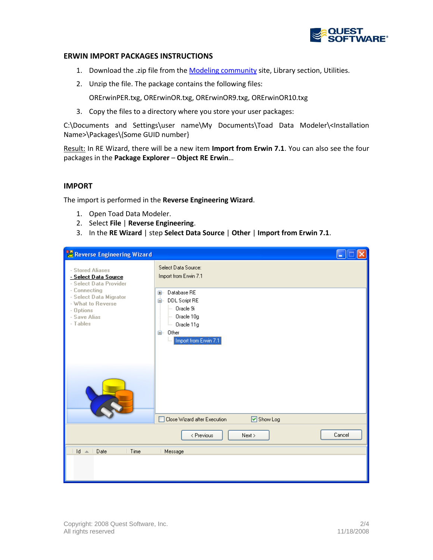

## **ERWIN IMPORT PACKAGES INSTRUCTIONS**

- 1. Download the .zip file from th[e Modeling community](http://modeling.inside.quest.com/) site, Library section, Utilities.
- 2. Unzip the file. The package contains the following files:

ORErwinPER.txg, ORErwinOR.txg, ORErwinOR9.txg, ORErwinOR10.txg

3. Copy the files to a directory where you store your user packages:

C:\Documents and Settings\user name\My Documents\Toad Data Modeler\<Installation Name>\Packages\{Some GUID number}

Result: In RE Wizard, there will be a new item **Import from Erwin 7.1**. You can also see the four packages in the **Package Explorer** – **Object RE Erwin**…

### **IMPORT**

The import is performed in the **Reverse Engineering Wizard**.

- 1. Open Toad Data Modeler.
- 2. Select **File** | **Reverse Engineering**.
- 3. In the **RE Wizard** | step **Select Data Source** | **Other** | **Import from Erwin 7.1**.

| Reverse Engineering Wizard                                                                                                                                                 | н                                                                                               |  |
|----------------------------------------------------------------------------------------------------------------------------------------------------------------------------|-------------------------------------------------------------------------------------------------|--|
| - Stored Aliases<br>- Select Data Source<br>- Select Data Provider<br>- Connecting<br>- Select Data Migrator<br>- What to Reverse<br>- Options<br>- Save Alias<br>- Tables | Select Data Source:<br>Import from Erwin 7.1<br>E Database RE<br>自 DDL Script RE<br>- Oracle 9i |  |
|                                                                                                                                                                            | $-$ Oracle 10g<br>Dracle 11g<br><b>E</b> Other<br>Import from Erwin 7.1                         |  |
|                                                                                                                                                                            | Close Wizard after Execution<br>☑ Show Log                                                      |  |
|                                                                                                                                                                            | Cancel<br>< Previous<br>Next                                                                    |  |
| $Id \triangle$   Date<br>Time<br>Message                                                                                                                                   |                                                                                                 |  |
|                                                                                                                                                                            |                                                                                                 |  |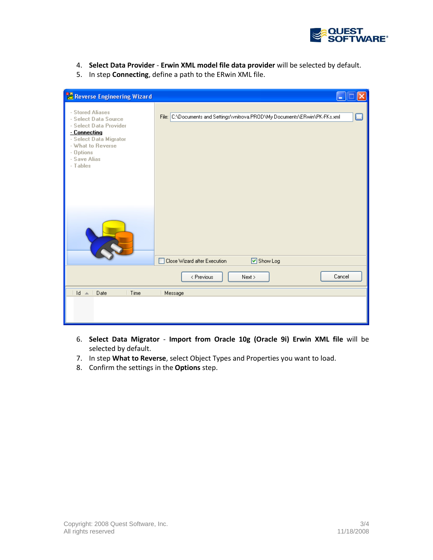

- 4. **Select Data Provider Erwin XML model file data provider** will be selected by default.
- 5. In step **Connecting**, define a path to the ERwin XML file.

| <b>TO</b> Reverse Engineering Wizard                                                                                                                                       |                                                                                       |
|----------------------------------------------------------------------------------------------------------------------------------------------------------------------------|---------------------------------------------------------------------------------------|
| - Stored Aliases<br>- Select Data Source<br>- Select Data Provider<br>- Connecting<br>- Select Data Migrator<br>- What to Reverse<br>- Options<br>- Save Alias<br>- Tables | File: C:\Documents and Settings\vnitrova.PROD\My Documents\ERwin\PK-FKs.xml<br>$\Box$ |
|                                                                                                                                                                            | Close Wizard after Execution<br>☑ Show Log                                            |
|                                                                                                                                                                            | Cancel<br>< Previous<br>Next >                                                        |
| Time<br>$\mathsf{Id}$ $\mathsf{A}$<br>Date                                                                                                                                 | Message                                                                               |
|                                                                                                                                                                            |                                                                                       |

- 6. **Select Data Migrator Import from Oracle 10g (Oracle 9i) Erwin XML file** will be selected by default.
- 7. In step **What to Reverse**, select Object Types and Properties you want to load.
- 8. Confirm the settings in the **Options** step.